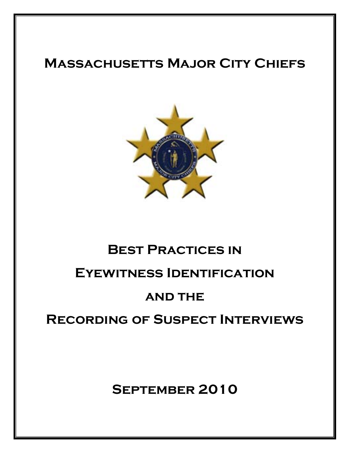## **Massachusetts Major City Chiefs**



# **Best Practices in**

### **Eyewitness Identification**

### **AND THE**

### **Recording of Suspect Interviews**

**September 2010**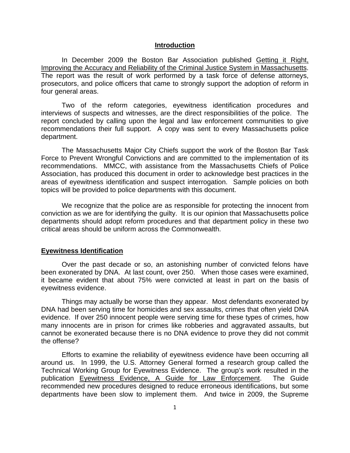#### **Introduction**

In December 2009 the Boston Bar Association published Getting it Right, Improving the Accuracy and Reliability of the Criminal Justice System in Massachusetts. The report was the result of work performed by a task force of defense attorneys, prosecutors, and police officers that came to strongly support the adoption of reform in four general areas.

Two of the reform categories, eyewitness identification procedures and interviews of suspects and witnesses, are the direct responsibilities of the police. The report concluded by calling upon the legal and law enforcement communities to give recommendations their full support. A copy was sent to every Massachusetts police department.

The Massachusetts Major City Chiefs support the work of the Boston Bar Task Force to Prevent Wrongful Convictions and are committed to the implementation of its recommendations. MMCC, with assistance from the Massachusetts Chiefs of Police Association, has produced this document in order to acknowledge best practices in the areas of eyewitness identification and suspect interrogation. Sample policies on both topics will be provided to police departments with this document.

We recognize that the police are as responsible for protecting the innocent from conviction as we are for identifying the guilty. It is our opinion that Massachusetts police departments should adopt reform procedures and that department policy in these two critical areas should be uniform across the Commonwealth.

#### **Eyewitness Identification**

Over the past decade or so, an astonishing number of convicted felons have been exonerated by DNA. At last count, over 250. When those cases were examined, it became evident that about 75% were convicted at least in part on the basis of eyewitness evidence.

Things may actually be worse than they appear. Most defendants exonerated by DNA had been serving time for homicides and sex assaults, crimes that often yield DNA evidence. If over 250 innocent people were serving time for these types of crimes, how many innocents are in prison for crimes like robberies and aggravated assaults, but cannot be exonerated because there is no DNA evidence to prove they did not commit the offense?

Efforts to examine the reliability of eyewitness evidence have been occurring all around us. In 1999, the U.S. Attorney General formed a research group called the Technical Working Group for Eyewitness Evidence. The group's work resulted in the publication Eyewitness Evidence, A Guide for Law Enforcement. The Guide recommended new procedures designed to reduce erroneous identifications, but some departments have been slow to implement them. And twice in 2009, the Supreme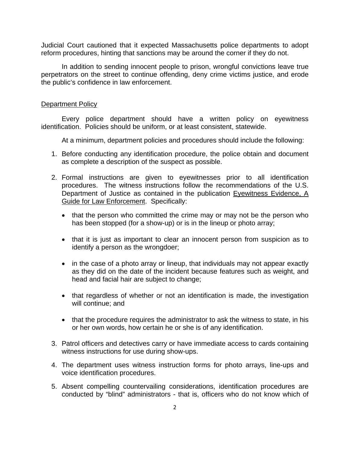Judicial Court cautioned that it expected Massachusetts police departments to adopt reform procedures, hinting that sanctions may be around the corner if they do not.

In addition to sending innocent people to prison, wrongful convictions leave true perpetrators on the street to continue offending, deny crime victims justice, and erode the public's confidence in law enforcement.

#### Department Policy

Every police department should have a written policy on eyewitness identification. Policies should be uniform, or at least consistent, statewide.

At a minimum, department policies and procedures should include the following:

- 1. Before conducting any identification procedure, the police obtain and document as complete a description of the suspect as possible.
- 2. Formal instructions are given to eyewitnesses prior to all identification procedures. The witness instructions follow the recommendations of the U.S. Department of Justice as contained in the publication Eyewitness Evidence, A Guide for Law Enforcement. Specifically:
	- that the person who committed the crime may or may not be the person who has been stopped (for a show-up) or is in the lineup or photo array;
	- that it is just as important to clear an innocent person from suspicion as to identify a person as the wrongdoer;
	- in the case of a photo array or lineup, that individuals may not appear exactly as they did on the date of the incident because features such as weight, and head and facial hair are subject to change;
	- that regardless of whether or not an identification is made, the investigation will continue; and
	- that the procedure requires the administrator to ask the witness to state, in his or her own words, how certain he or she is of any identification.
- 3. Patrol officers and detectives carry or have immediate access to cards containing witness instructions for use during show-ups.
- 4. The department uses witness instruction forms for photo arrays, line-ups and voice identification procedures.
- 5. Absent compelling countervailing considerations, identification procedures are conducted by "blind" administrators - that is, officers who do not know which of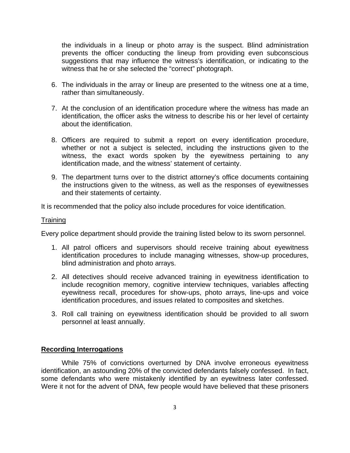the individuals in a lineup or photo array is the suspect. Blind administration prevents the officer conducting the lineup from providing even subconscious suggestions that may influence the witness's identification, or indicating to the witness that he or she selected the "correct" photograph.

- 6. The individuals in the array or lineup are presented to the witness one at a time, rather than simultaneously.
- 7. At the conclusion of an identification procedure where the witness has made an identification, the officer asks the witness to describe his or her level of certainty about the identification.
- 8. Officers are required to submit a report on every identification procedure, whether or not a subject is selected, including the instructions given to the witness, the exact words spoken by the eyewitness pertaining to any identification made, and the witness' statement of certainty.
- 9. The department turns over to the district attorney's office documents containing the instructions given to the witness, as well as the responses of eyewitnesses and their statements of certainty.

It is recommended that the policy also include procedures for voice identification.

#### **Training**

Every police department should provide the training listed below to its sworn personnel.

- 1. All patrol officers and supervisors should receive training about eyewitness identification procedures to include managing witnesses, show-up procedures, blind administration and photo arrays.
- 2. All detectives should receive advanced training in eyewitness identification to include recognition memory, cognitive interview techniques, variables affecting eyewitness recall, procedures for show-ups, photo arrays, line-ups and voice identification procedures, and issues related to composites and sketches.
- 3. Roll call training on eyewitness identification should be provided to all sworn personnel at least annually.

#### **Recording Interrogations**

While 75% of convictions overturned by DNA involve erroneous eyewitness identification, an astounding 20% of the convicted defendants falsely confessed. In fact, some defendants who were mistakenly identified by an eyewitness later confessed. Were it not for the advent of DNA, few people would have believed that these prisoners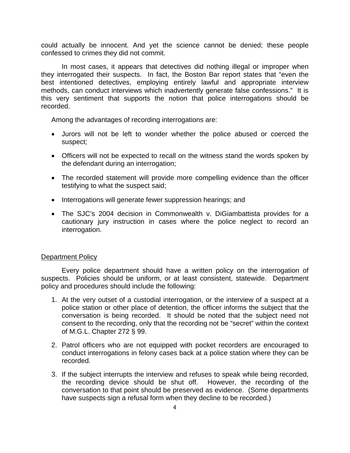could actually be innocent. And yet the science cannot be denied; these people confessed to crimes they did not commit.

In most cases, it appears that detectives did nothing illegal or improper when they interrogated their suspects. In fact, the Boston Bar report states that "even the best intentioned detectives, employing entirely lawful and appropriate interview methods, can conduct interviews which inadvertently generate false confessions." It is this very sentiment that supports the notion that police interrogations should be recorded.

Among the advantages of recording interrogations are:

- Jurors will not be left to wonder whether the police abused or coerced the suspect;
- Officers will not be expected to recall on the witness stand the words spoken by the defendant during an interrogation;
- The recorded statement will provide more compelling evidence than the officer testifying to what the suspect said;
- Interrogations will generate fewer suppression hearings; and
- The SJC's 2004 decision in Commonwealth v. DiGiambattista provides for a cautionary jury instruction in cases where the police neglect to record an interrogation.

#### Department Policy

Every police department should have a written policy on the interrogation of suspects. Policies should be uniform, or at least consistent, statewide. Department policy and procedures should include the following:

- 1. At the very outset of a custodial interrogation, or the interview of a suspect at a police station or other place of detention, the officer informs the subject that the conversation is being recorded. It should be noted that the subject need not consent to the recording, only that the recording not be "secret" within the context of M.G.L. Chapter 272 § 99.
- 2. Patrol officers who are not equipped with pocket recorders are encouraged to conduct interrogations in felony cases back at a police station where they can be recorded.
- 3. If the subject interrupts the interview and refuses to speak while being recorded, the recording device should be shut off. However, the recording of the conversation to that point should be preserved as evidence. (Some departments have suspects sign a refusal form when they decline to be recorded.)